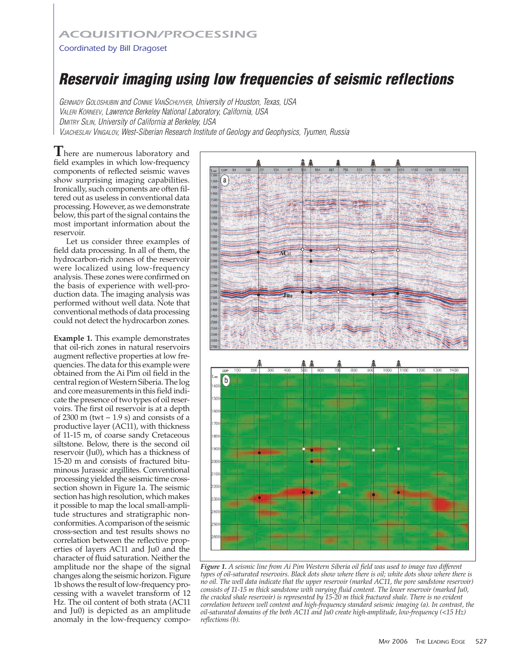## *ACQUISITION/PROCESSING*

## Coordinated by Bill Dragoset

## **Reservoir imaging using low frequencies of seismic reflections**

GENNADY GOLOSHUBIN and CONNIE VANSCHUYVER, University of Houston, Texas, USA VALERI KORNEEV, Lawrence Berkeley National Laboratory, California, USA DMITRY SILIN, University of California at Berkeley, USA VJACHESLAV VINGALOV, West-Siberian Research Institute of Geology and Geophysics, Tyumen, Russia

**T**here are numerous laboratory and field examples in which low-frequency components of reflected seismic waves show surprising imaging capabilities. Ironically, such components are often filtered out as useless in conventional data processing. However, as we demonstrate below, this part of the signal contains the most important information about the reservoir.

Let us consider three examples of field data processing. In all of them, the hydrocarbon-rich zones of the reservoir were localized using low-frequency analysis. These zones were confirmed on the basis of experience with well-production data. The imaging analysis was performed without well data. Note that conventional methods of data processing could not detect the hydrocarbon zones.

**Example 1.** This example demonstrates that oil-rich zones in natural reservoirs augment reflective properties at low frequencies. The data for this example were obtained from the Ai Pim oil field in the central region of Western Siberia. The log and core measurements in this field indicate the presence of two types of oil reservoirs. The first oil reservoir is at a depth of 2300 m (twt  $\sim$  1.9 s) and consists of a productive layer (AC11), with thickness of 11-15 m, of coarse sandy Cretaceous siltstone. Below, there is the second oil reservoir (Ju0), which has a thickness of 15-20 m and consists of fractured bituminous Jurassic argillites. Conventional processing yielded the seismic time crosssection shown in Figure 1a. The seismic section has high resolution, which makes it possible to map the local small-amplitude structures and stratigraphic nonconformities. Acomparison of the seismic cross-section and test results shows no correlation between the reflective properties of layers AC11 and Ju0 and the character of fluid saturation. Neither the amplitude nor the shape of the signal changes along the seismic horizon. Figure 1b shows the result of low-frequency processing with a wavelet transform of 12 Hz. The oil content of both strata (AC11 and Ju0) is depicted as an amplitude anomaly in the low-frequency compo-



*Figure 1. A seismic line from Ai Pim Western Siberia oil field was used to image two different types of oil-saturated reservoirs. Black dots show where there is oil; white dots show where there is no oil. The well data indicate that the upper reservoir (marked AC11, the pore sandstone reservoir) consists of 11-15 m thick sandstone with varying fluid content. The lower reservoir (marked Ju0, the cracked shale reservoir) is represented by 15-20 m thick fractured shale. There is no evident correlation between well content and high-frequency standard seismic imaging (a). In contrast, the oil-saturated domains of the both AC11 and Ju0 create high-amplitude, low-frequency (<15 Hz) reflections (b).*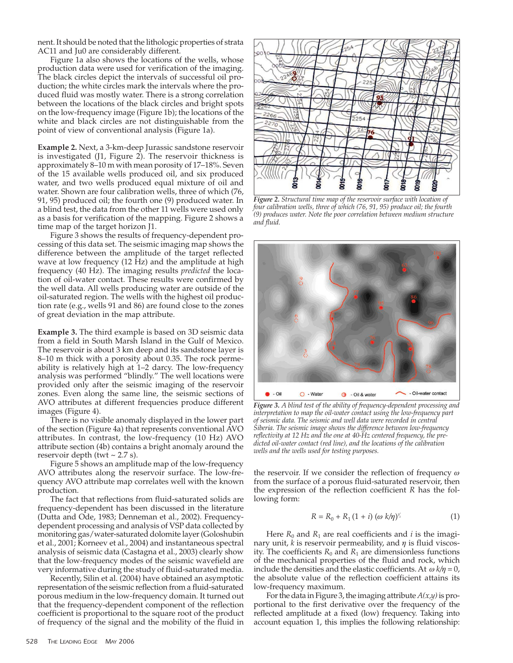nent. It should be noted that the lithologic properties of strata AC11 and Ju0 are considerably different.

Figure 1a also shows the locations of the wells, whose production data were used for verification of the imaging. The black circles depict the intervals of successful oil production; the white circles mark the intervals where the produced fluid was mostly water. There is a strong correlation between the locations of the black circles and bright spots on the low-frequency image (Figure 1b); the locations of the white and black circles are not distinguishable from the point of view of conventional analysis (Figure 1a).

**Example 2.** Next, a 3-km-deep Jurassic sandstone reservoir is investigated (J1, Figure 2). The reservoir thickness is approximately 8–10 m with mean porosity of 17–18%. Seven of the 15 available wells produced oil, and six produced water, and two wells produced equal mixture of oil and water. Shown are four calibration wells, three of which (76, 91, 95) produced oil; the fourth one (9) produced water. In a blind test, the data from the other 11 wells were used only as a basis for verification of the mapping. Figure 2 shows a time map of the target horizon J1.

Figure 3 shows the results of frequency-dependent processing of this data set. The seismic imaging map shows the difference between the amplitude of the target reflected wave at low frequency (12 Hz) and the amplitude at high frequency (40 Hz). The imaging results *predicted* the location of oil-water contact. These results were confirmed by the well data. All wells producing water are outside of the oil-saturated region. The wells with the highest oil production rate (e.g., wells 91 and 86) are found close to the zones of great deviation in the map attribute.

**Example 3.** The third example is based on 3D seismic data from a field in South Marsh Island in the Gulf of Mexico. The reservoir is about 3 km deep and its sandstone layer is 8–10 m thick with a porosity about 0.35. The rock permeability is relatively high at 1–2 darcy. The low-frequency analysis was performed "blindly." The well locations were provided only after the seismic imaging of the reservoir zones. Even along the same line, the seismic sections of AVO attributes at different frequencies produce different images (Figure 4).

There is no visible anomaly displayed in the lower part of the section (Figure 4a) that represents conventional AVO attributes. In contrast, the low-frequency (10 Hz) AVO attribute section (4b) contains a bright anomaly around the reservoir depth (twt  $\sim$  2.7 s).

Figure 5 shows an amplitude map of the low-frequency AVO attributes along the reservoir surface. The low-frequency AVO attribute map correlates well with the known production.

The fact that reflections from fluid-saturated solids are frequency-dependent has been discussed in the literature (Dutta and Ode, 1983; Denneman et al., 2002). Frequencydependent processing and analysis of VSP data collected by monitoring gas/water-saturated dolomite layer (Goloshubin et al., 2001; Korneev et al., 2004) and instantaneous spectral analysis of seismic data (Castagna et al., 2003) clearly show that the low-frequency modes of the seismic wavefield are very informative during the study of fluid-saturated media.

Recently, Silin et al. (2004) have obtained an asymptotic representation of the seismic reflection from a fluid-saturated porous medium in the low-frequency domain. It turned out that the frequency-dependent component of the reflection coefficient is proportional to the square root of the product of frequency of the signal and the mobility of the fluid in



*Figure 2. Structural time map of the reservoir surface with location of four calibration wells, three of which (76, 91, 95) produce oil; the fourth (9) produces water. Note the poor correlation between medium structure and fluid.*



*Figure 3. A blind test of the ability of frequency-dependent processing and interpretation to map the oil-water contact using the low-frequency part of seismic data. The seismic and well data were recorded in central Siberia. The seismic image shows the difference between low-frequency reflectivity at 12 Hz and the one at 40-Hz centered frequency, the predicted oil-water contact (red line), and the locations of the calibration wells and the wells used for testing purposes.*

the reservoir. If we consider the reflection of frequency  $\omega$ from the surface of a porous fluid-saturated reservoir, then the expression of the reflection coefficient *R* has the following form:

$$
R = R_0 + R_1 (1 + i) (\omega k / \eta)^{\frac{1}{2}}
$$
 (1)

Here  $R_0$  and  $R_1$  are real coefficients and *i* is the imaginary unit,  $k$  is reservoir permeability, and  $\eta$  is fluid viscosity. The coefficients  $R_0$  and  $R_1$  are dimensionless functions of the mechanical properties of the fluid and rock, which include the densities and the elastic coefficients. At  $\omega k/n = 0$ , the absolute value of the reflection coefficient attains its low-frequency maximum.

For the data in Figure 3, the imaging attribute  $A(x,y)$  is proportional to the first derivative over the frequency of the reflected amplitude at a fixed (low) frequency. Taking into account equation 1, this implies the following relationship: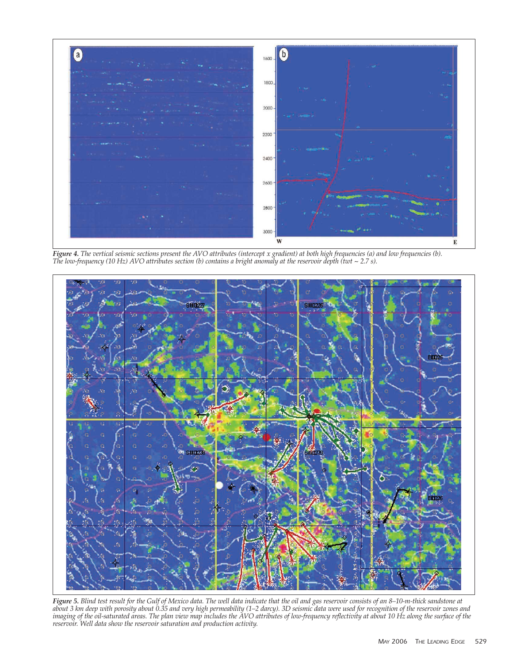

*Figure 4. The vertical seismic sections present the AVO attributes (intercept x gradient) at both high frequencies (a) and low frequencies (b). The low-frequency (10 Hz) AVO attributes section (b) contains a bright anomaly at the reservoir depth (twt ~ 2.7 s).*



*Figure 5. Blind test result for the Gulf of Mexico data. The well data indicate that the oil and gas reservoir consists of an 8–10-m-thick sandstone at about 3 km deep with porosity about 0.35 and very high permeability (1–2 darcy). 3D seismic data were used for recognition of the reservoir zones and imaging of the oil-saturated areas. The plan view map includes the AVO attributes of low-frequency reflectivity at about 10 Hz along the surface of the reservoir. Well data show the reservoir saturation and production activity.*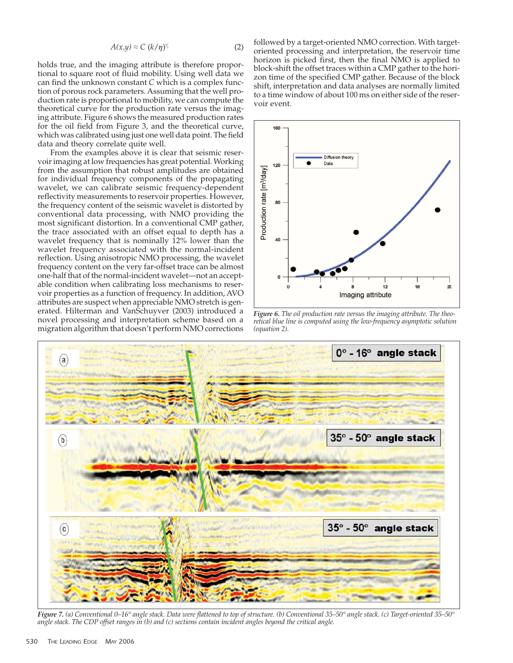$$
A(x,y) \approx C \ (k/\eta)^{\frac{1}{2}} \tag{2}
$$

holds true, and the imaging attribute is therefore proportional to square root of fluid mobility. Using well data we can find the unknown constant *C* which is a complex function of porous rock parameters. Assuming that the well production rate is proportional to mobility, we can compute the theoretical curve for the production rate versus the imaging attribute. Figure 6 shows the measured production rates for the oil field from Figure 3, and the theoretical curve, which was calibrated using just one well data point. The field data and theory correlate quite well.

From the examples above it is clear that seismic reservoir imaging at low frequencies has great potential. Working from the assumption that robust amplitudes are obtained for individual frequency components of the propagating wavelet, we can calibrate seismic frequency-dependent reflectivity measurements to reservoir properties. However, the frequency content of the seismic wavelet is distorted by conventional data processing, with NMO providing the most significant distortion. In a conventional CMP gather, the trace associated with an offset equal to depth has a wavelet frequency that is nominally 12% lower than the wavelet frequency associated with the normal-incident reflection. Using anisotropic NMO processing, the wavelet frequency content on the very far-offset trace can be almost one-half that of the normal-incident wavelet—not an acceptable condition when calibrating loss mechanisms to reservoir properties as a function of frequency. In addition, AVO attributes are suspect when appreciable NMO stretch is generated. Hilterman and VanSchuyver (2003) introduced a novel processing and interpretation scheme based on a migration algorithm that doesn't perform NMO corrections

followed by a target-oriented NMO correction. With targetoriented processing and interpretation, the reservoir time horizon is picked first, then the final NMO is applied to block-shift the offset traces within a CMP gather to the horizon time of the specified CMP gather. Because of the block shift, interpretation and data analyses are normally limited to a time window of about 100 ms on either side of the reservoir event.



*Figure 6. The oil production rate versus the imaging attribute. The theoretical blue line is computed using the low-frequency asymptotic solution (equation 2).*



*Figure 7. (a) Conventional 0–16° angle stack. Data were flattened to top of structure. (b) Conventional 35–50° angle stack. (c) Target-oriented 35–50° angle stack. The CDP offset ranges in (b) and (c) sections contain incident angles beyond the critical angle.*